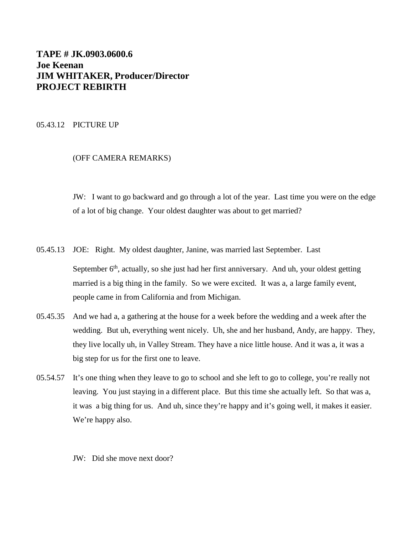# **TAPE # JK.0903.0600.6 Joe Keenan JIM WHITAKER, Producer/Director PROJECT REBIRTH**

# 05.43.12 PICTURE UP

# (OFF CAMERA REMARKS)

JW: I want to go backward and go through a lot of the year. Last time you were on the edge of a lot of big change. Your oldest daughter was about to get married?

- 05.45.13 JOE: Right. My oldest daughter, Janine, was married last September. Last September  $6<sup>th</sup>$ , actually, so she just had her first anniversary. And uh, your oldest getting married is a big thing in the family. So we were excited. It was a, a large family event, people came in from California and from Michigan.
- 05.45.35 And we had a, a gathering at the house for a week before the wedding and a week after the wedding. But uh, everything went nicely. Uh, she and her husband, Andy, are happy. They, they live locally uh, in Valley Stream. They have a nice little house. And it was a, it was a big step for us for the first one to leave.
- 05.54.57 It's one thing when they leave to go to school and she left to go to college, you're really not leaving. You just staying in a different place. But this time she actually left. So that was a, it was a big thing for us. And uh, since they're happy and it's going well, it makes it easier. We're happy also.

JW: Did she move next door?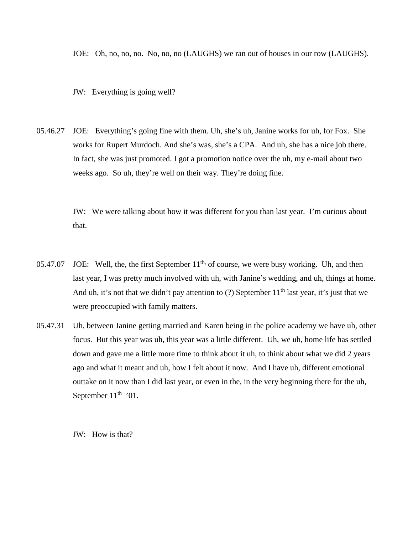JOE: Oh, no, no, no. No, no, no (LAUGHS) we ran out of houses in our row (LAUGHS).

JW: Everything is going well?

05.46.27 JOE: Everything's going fine with them. Uh, she's uh, Janine works for uh, for Fox. She works for Rupert Murdoch. And she's was, she's a CPA. And uh, she has a nice job there. In fact, she was just promoted. I got a promotion notice over the uh, my e-mail about two weeks ago. So uh, they're well on their way. They're doing fine.

> JW: We were talking about how it was different for you than last year. I'm curious about that.

- 05.47.07 JOE: Well, the, the first September  $11<sup>th</sup>$ , of course, we were busy working. Uh, and then last year, I was pretty much involved with uh, with Janine's wedding, and uh, things at home. And uh, it's not that we didn't pay attention to (?) September  $11<sup>th</sup>$  last year, it's just that we were preoccupied with family matters.
- 05.47.31 Uh, between Janine getting married and Karen being in the police academy we have uh, other focus. But this year was uh, this year was a little different. Uh, we uh, home life has settled down and gave me a little more time to think about it uh, to think about what we did 2 years ago and what it meant and uh, how I felt about it now. And I have uh, different emotional outtake on it now than I did last year, or even in the, in the very beginning there for the uh, September  $11<sup>th</sup>$  '01.

JW: How is that?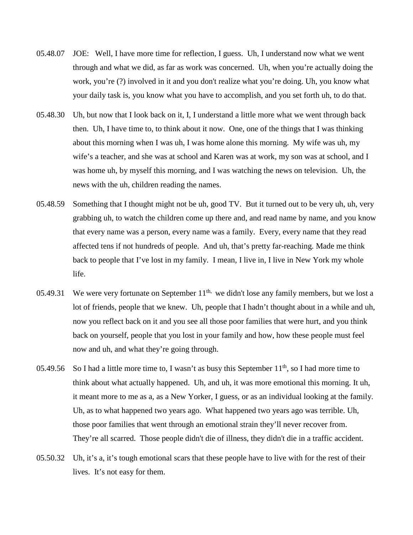- 05.48.07 JOE: Well, I have more time for reflection, I guess. Uh, I understand now what we went through and what we did, as far as work was concerned. Uh, when you're actually doing the work, you're (?) involved in it and you don't realize what you're doing. Uh, you know what your daily task is, you know what you have to accomplish, and you set forth uh, to do that.
- 05.48.30 Uh, but now that I look back on it, I, I understand a little more what we went through back then. Uh, I have time to, to think about it now. One, one of the things that I was thinking about this morning when I was uh, I was home alone this morning. My wife was uh, my wife's a teacher, and she was at school and Karen was at work, my son was at school, and I was home uh, by myself this morning, and I was watching the news on television. Uh, the news with the uh, children reading the names.
- 05.48.59 Something that I thought might not be uh, good TV. But it turned out to be very uh, uh, very grabbing uh, to watch the children come up there and, and read name by name, and you know that every name was a person, every name was a family. Every, every name that they read affected tens if not hundreds of people. And uh, that's pretty far-reaching. Made me think back to people that I've lost in my family. I mean, I live in, I live in New York my whole life.
- 05.49.31 We were very fortunate on September  $11<sup>th</sup>$ , we didn't lose any family members, but we lost a lot of friends, people that we knew. Uh, people that I hadn't thought about in a while and uh, now you reflect back on it and you see all those poor families that were hurt, and you think back on yourself, people that you lost in your family and how, how these people must feel now and uh, and what they're going through.
- 05.49.56 So I had a little more time to, I wasn't as busy this September  $11<sup>th</sup>$ , so I had more time to think about what actually happened. Uh, and uh, it was more emotional this morning. It uh, it meant more to me as a, as a New Yorker, I guess, or as an individual looking at the family. Uh, as to what happened two years ago. What happened two years ago was terrible. Uh, those poor families that went through an emotional strain they'll never recover from. They're all scarred. Those people didn't die of illness, they didn't die in a traffic accident.
- 05.50.32 Uh, it's a, it's tough emotional scars that these people have to live with for the rest of their lives. It's not easy for them.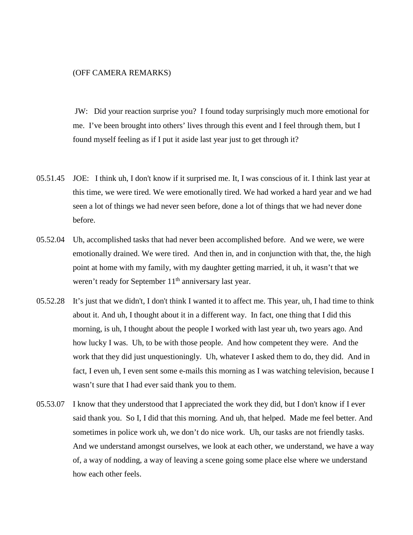### (OFF CAMERA REMARKS)

JW: Did your reaction surprise you? I found today surprisingly much more emotional for me. I've been brought into others' lives through this event and I feel through them, but I found myself feeling as if I put it aside last year just to get through it?

- 05.51.45 JOE: I think uh, I don't know if it surprised me. It, I was conscious of it. I think last year at this time, we were tired. We were emotionally tired. We had worked a hard year and we had seen a lot of things we had never seen before, done a lot of things that we had never done before.
- 05.52.04 Uh, accomplished tasks that had never been accomplished before. And we were, we were emotionally drained. We were tired. And then in, and in conjunction with that, the, the high point at home with my family, with my daughter getting married, it uh, it wasn't that we weren't ready for September  $11<sup>th</sup>$  anniversary last year.
- 05.52.28 It's just that we didn't, I don't think I wanted it to affect me. This year, uh, I had time to think about it. And uh, I thought about it in a different way. In fact, one thing that I did this morning, is uh, I thought about the people I worked with last year uh, two years ago. And how lucky I was. Uh, to be with those people. And how competent they were. And the work that they did just unquestioningly. Uh, whatever I asked them to do, they did. And in fact, I even uh, I even sent some e-mails this morning as I was watching television, because I wasn't sure that I had ever said thank you to them.
- 05.53.07 I know that they understood that I appreciated the work they did, but I don't know if I ever said thank you. So I, I did that this morning. And uh, that helped. Made me feel better. And sometimes in police work uh, we don't do nice work. Uh, our tasks are not friendly tasks. And we understand amongst ourselves, we look at each other, we understand, we have a way of, a way of nodding, a way of leaving a scene going some place else where we understand how each other feels.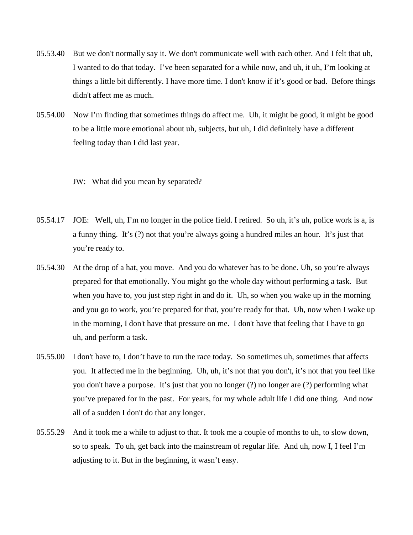- 05.53.40 But we don't normally say it. We don't communicate well with each other. And I felt that uh, I wanted to do that today. I've been separated for a while now, and uh, it uh, I'm looking at things a little bit differently. I have more time. I don't know if it's good or bad. Before things didn't affect me as much.
- 05.54.00 Now I'm finding that sometimes things do affect me. Uh, it might be good, it might be good to be a little more emotional about uh, subjects, but uh, I did definitely have a different feeling today than I did last year.

JW: What did you mean by separated?

- 05.54.17 JOE: Well, uh, I'm no longer in the police field. I retired. So uh, it's uh, police work is a, is a funny thing. It's (?) not that you're always going a hundred miles an hour. It's just that you're ready to.
- 05.54.30 At the drop of a hat, you move. And you do whatever has to be done. Uh, so you're always prepared for that emotionally. You might go the whole day without performing a task. But when you have to, you just step right in and do it. Uh, so when you wake up in the morning and you go to work, you're prepared for that, you're ready for that. Uh, now when I wake up in the morning, I don't have that pressure on me. I don't have that feeling that I have to go uh, and perform a task.
- 05.55.00 I don't have to, I don't have to run the race today. So sometimes uh, sometimes that affects you. It affected me in the beginning. Uh, uh, it's not that you don't, it's not that you feel like you don't have a purpose. It's just that you no longer (?) no longer are (?) performing what you've prepared for in the past. For years, for my whole adult life I did one thing. And now all of a sudden I don't do that any longer.
- 05.55.29 And it took me a while to adjust to that. It took me a couple of months to uh, to slow down, so to speak. To uh, get back into the mainstream of regular life. And uh, now I, I feel I'm adjusting to it. But in the beginning, it wasn't easy.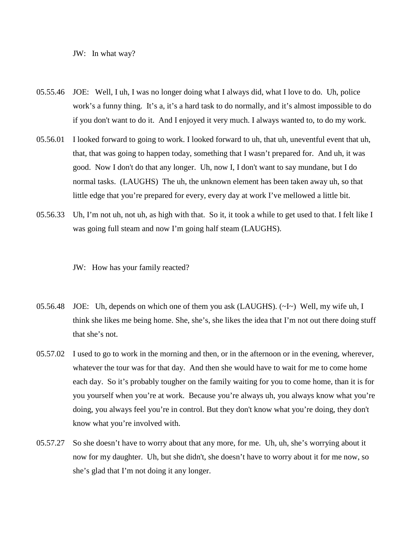JW: In what way?

- 05.55.46 JOE: Well, I uh, I was no longer doing what I always did, what I love to do. Uh, police work's a funny thing. It's a, it's a hard task to do normally, and it's almost impossible to do if you don't want to do it. And I enjoyed it very much. I always wanted to, to do my work.
- 05.56.01 I looked forward to going to work. I looked forward to uh, that uh, uneventful event that uh, that, that was going to happen today, something that I wasn't prepared for. And uh, it was good. Now I don't do that any longer. Uh, now I, I don't want to say mundane, but I do normal tasks. (LAUGHS) The uh, the unknown element has been taken away uh, so that little edge that you're prepared for every, every day at work I've mellowed a little bit.
- 05.56.33 Uh, I'm not uh, not uh, as high with that. So it, it took a while to get used to that. I felt like I was going full steam and now I'm going half steam (LAUGHS).

JW: How has your family reacted?

- 05.56.48 JOE: Uh, depends on which one of them you ask (LAUGHS).  $(\sim I \sim)$  Well, my wife uh, I think she likes me being home. She, she's, she likes the idea that I'm not out there doing stuff that she's not.
- 05.57.02 I used to go to work in the morning and then, or in the afternoon or in the evening, wherever, whatever the tour was for that day. And then she would have to wait for me to come home each day. So it's probably tougher on the family waiting for you to come home, than it is for you yourself when you're at work. Because you're always uh, you always know what you're doing, you always feel you're in control. But they don't know what you're doing, they don't know what you're involved with.
- 05.57.27 So she doesn't have to worry about that any more, for me. Uh, uh, she's worrying about it now for my daughter. Uh, but she didn't, she doesn't have to worry about it for me now, so she's glad that I'm not doing it any longer.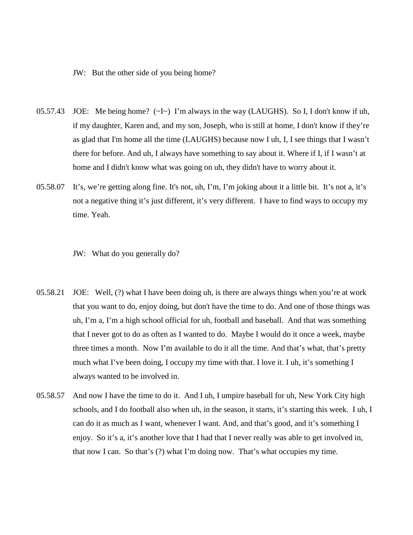### JW: But the other side of you being home?

- 05.57.43 JOE: Me being home? (~I~) I'm always in the way (LAUGHS). So I, I don't know if uh, if my daughter, Karen and, and my son, Joseph, who is still at home, I don't know if they're as glad that I'm home all the time (LAUGHS) because now I uh, I, I see things that I wasn't there for before. And uh, I always have something to say about it. Where if I, if I wasn't at home and I didn't know what was going on uh, they didn't have to worry about it.
- 05.58.07 It's, we're getting along fine. It's not, uh, I'm, I'm joking about it a little bit. It's not a, it's not a negative thing it's just different, it's very different. I have to find ways to occupy my time. Yeah.

JW: What do you generally do?

- 05.58.21 JOE: Well, (?) what I have been doing uh, is there are always things when you're at work that you want to do, enjoy doing, but don't have the time to do. And one of those things was uh, I'm a, I'm a high school official for uh, football and baseball. And that was something that I never got to do as often as I wanted to do. Maybe I would do it once a week, maybe three times a month. Now I'm available to do it all the time. And that's what, that's pretty much what I've been doing, I occupy my time with that. I love it. I uh, it's something I always wanted to be involved in.
- 05.58.57 And now I have the time to do it. And I uh, I umpire baseball for uh, New York City high schools, and I do football also when uh, in the season, it starts, it's starting this week. I uh, I can do it as much as I want, whenever I want. And, and that's good, and it's something I enjoy. So it's a, it's another love that I had that I never really was able to get involved in, that now I can. So that's (?) what I'm doing now. That's what occupies my time.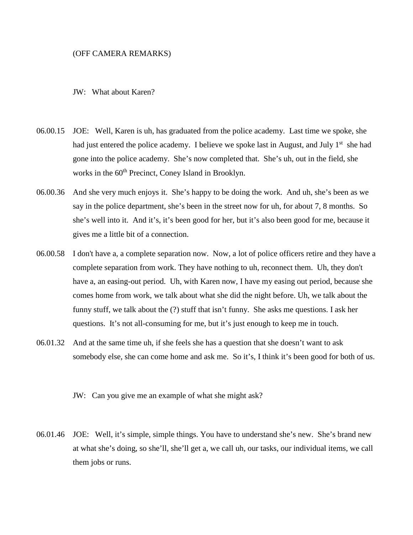### (OFF CAMERA REMARKS)

### JW: What about Karen?

- 06.00.15 JOE: Well, Karen is uh, has graduated from the police academy. Last time we spoke, she had just entered the police academy. I believe we spoke last in August, and July 1<sup>st</sup> she had gone into the police academy. She's now completed that. She's uh, out in the field, she works in the 60<sup>th</sup> Precinct, Coney Island in Brooklyn.
- 06.00.36 And she very much enjoys it. She's happy to be doing the work. And uh, she's been as we say in the police department, she's been in the street now for uh, for about 7, 8 months. So she's well into it. And it's, it's been good for her, but it's also been good for me, because it gives me a little bit of a connection.
- 06.00.58 I don't have a, a complete separation now. Now, a lot of police officers retire and they have a complete separation from work. They have nothing to uh, reconnect them. Uh, they don't have a, an easing-out period. Uh, with Karen now, I have my easing out period, because she comes home from work, we talk about what she did the night before. Uh, we talk about the funny stuff, we talk about the (?) stuff that isn't funny. She asks me questions. I ask her questions. It's not all-consuming for me, but it's just enough to keep me in touch.
- 06.01.32 And at the same time uh, if she feels she has a question that she doesn't want to ask somebody else, she can come home and ask me. So it's, I think it's been good for both of us.
	- JW: Can you give me an example of what she might ask?
- 06.01.46 JOE: Well, it's simple, simple things. You have to understand she's new. She's brand new at what she's doing, so she'll, she'll get a, we call uh, our tasks, our individual items, we call them jobs or runs.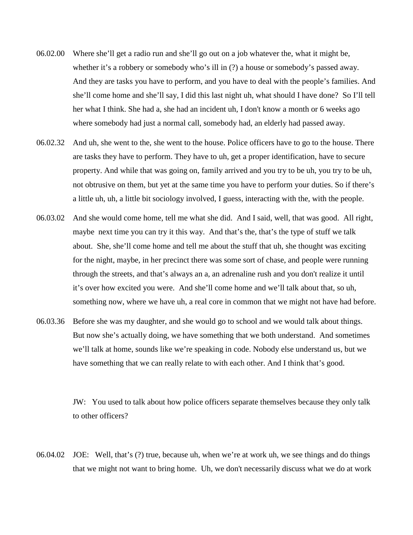- 06.02.00 Where she'll get a radio run and she'll go out on a job whatever the, what it might be, whether it's a robbery or somebody who's ill in (?) a house or somebody's passed away. And they are tasks you have to perform, and you have to deal with the people's families. And she'll come home and she'll say, I did this last night uh, what should I have done? So I'll tell her what I think. She had a, she had an incident uh, I don't know a month or 6 weeks ago where somebody had just a normal call, somebody had, an elderly had passed away.
- 06.02.32 And uh, she went to the, she went to the house. Police officers have to go to the house. There are tasks they have to perform. They have to uh, get a proper identification, have to secure property. And while that was going on, family arrived and you try to be uh, you try to be uh, not obtrusive on them, but yet at the same time you have to perform your duties. So if there's a little uh, uh, a little bit sociology involved, I guess, interacting with the, with the people.
- 06.03.02 And she would come home, tell me what she did. And I said, well, that was good. All right, maybe next time you can try it this way. And that's the, that's the type of stuff we talk about. She, she'll come home and tell me about the stuff that uh, she thought was exciting for the night, maybe, in her precinct there was some sort of chase, and people were running through the streets, and that's always an a, an adrenaline rush and you don't realize it until it's over how excited you were. And she'll come home and we'll talk about that, so uh, something now, where we have uh, a real core in common that we might not have had before.
- 06.03.36 Before she was my daughter, and she would go to school and we would talk about things. But now she's actually doing, we have something that we both understand. And sometimes we'll talk at home, sounds like we're speaking in code. Nobody else understand us, but we have something that we can really relate to with each other. And I think that's good.

JW: You used to talk about how police officers separate themselves because they only talk to other officers?

06.04.02 JOE: Well, that's (?) true, because uh, when we're at work uh, we see things and do things that we might not want to bring home. Uh, we don't necessarily discuss what we do at work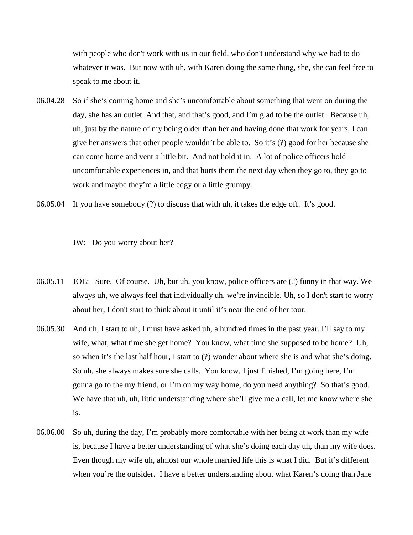with people who don't work with us in our field, who don't understand why we had to do whatever it was. But now with uh, with Karen doing the same thing, she, she can feel free to speak to me about it.

- 06.04.28 So if she's coming home and she's uncomfortable about something that went on during the day, she has an outlet. And that, and that's good, and I'm glad to be the outlet. Because uh, uh, just by the nature of my being older than her and having done that work for years, I can give her answers that other people wouldn't be able to. So it's (?) good for her because she can come home and vent a little bit. And not hold it in. A lot of police officers hold uncomfortable experiences in, and that hurts them the next day when they go to, they go to work and maybe they're a little edgy or a little grumpy.
- 06.05.04 If you have somebody (?) to discuss that with uh, it takes the edge off. It's good.

JW: Do you worry about her?

- 06.05.11 JOE: Sure. Of course. Uh, but uh, you know, police officers are (?) funny in that way. We always uh, we always feel that individually uh, we're invincible. Uh, so I don't start to worry about her, I don't start to think about it until it's near the end of her tour.
- 06.05.30 And uh, I start to uh, I must have asked uh, a hundred times in the past year. I'll say to my wife, what, what time she get home? You know, what time she supposed to be home? Uh, so when it's the last half hour, I start to (?) wonder about where she is and what she's doing. So uh, she always makes sure she calls. You know, I just finished, I'm going here, I'm gonna go to the my friend, or I'm on my way home, do you need anything? So that's good. We have that uh, uh, little understanding where she'll give me a call, let me know where she is.
- 06.06.00 So uh, during the day, I'm probably more comfortable with her being at work than my wife is, because I have a better understanding of what she's doing each day uh, than my wife does. Even though my wife uh, almost our whole married life this is what I did. But it's different when you're the outsider. I have a better understanding about what Karen's doing than Jane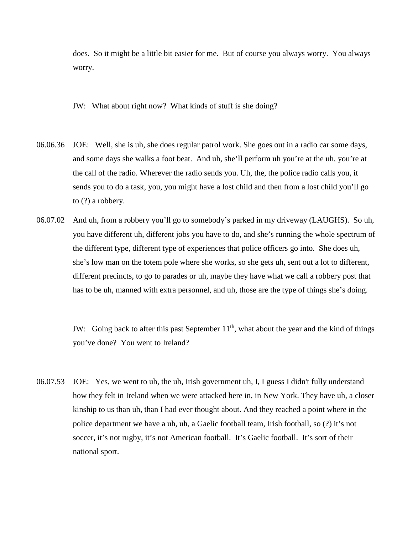does. So it might be a little bit easier for me. But of course you always worry. You always worry.

JW: What about right now? What kinds of stuff is she doing?

- 06.06.36 JOE: Well, she is uh, she does regular patrol work. She goes out in a radio car some days, and some days she walks a foot beat. And uh, she'll perform uh you're at the uh, you're at the call of the radio. Wherever the radio sends you. Uh, the, the police radio calls you, it sends you to do a task, you, you might have a lost child and then from a lost child you'll go to (?) a robbery.
- 06.07.02 And uh, from a robbery you'll go to somebody's parked in my driveway (LAUGHS). So uh, you have different uh, different jobs you have to do, and she's running the whole spectrum of the different type, different type of experiences that police officers go into. She does uh, she's low man on the totem pole where she works, so she gets uh, sent out a lot to different, different precincts, to go to parades or uh, maybe they have what we call a robbery post that has to be uh, manned with extra personnel, and uh, those are the type of things she's doing.

JW: Going back to after this past September  $11<sup>th</sup>$ , what about the year and the kind of things you've done? You went to Ireland?

06.07.53 JOE: Yes, we went to uh, the uh, Irish government uh, I, I guess I didn't fully understand how they felt in Ireland when we were attacked here in, in New York. They have uh, a closer kinship to us than uh, than I had ever thought about. And they reached a point where in the police department we have a uh, uh, a Gaelic football team, Irish football, so (?) it's not soccer, it's not rugby, it's not American football. It's Gaelic football. It's sort of their national sport.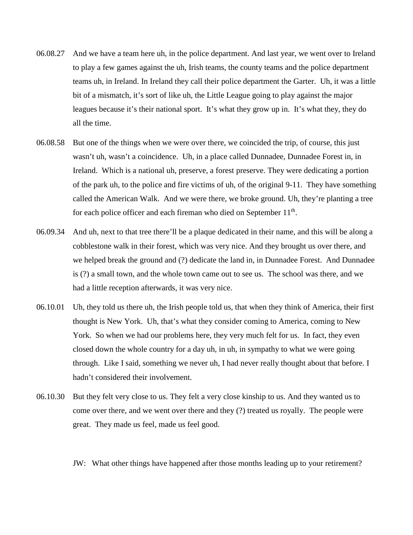- 06.08.27 And we have a team here uh, in the police department. And last year, we went over to Ireland to play a few games against the uh, Irish teams, the county teams and the police department teams uh, in Ireland. In Ireland they call their police department the Garter. Uh, it was a little bit of a mismatch, it's sort of like uh, the Little League going to play against the major leagues because it's their national sport. It's what they grow up in. It's what they, they do all the time.
- 06.08.58 But one of the things when we were over there, we coincided the trip, of course, this just wasn't uh, wasn't a coincidence. Uh, in a place called Dunnadee, Dunnadee Forest in, in Ireland. Which is a national uh, preserve, a forest preserve. They were dedicating a portion of the park uh, to the police and fire victims of uh, of the original 9-11. They have something called the American Walk. And we were there, we broke ground. Uh, they're planting a tree for each police officer and each fireman who died on September  $11<sup>th</sup>$ .
- 06.09.34 And uh, next to that tree there'll be a plaque dedicated in their name, and this will be along a cobblestone walk in their forest, which was very nice. And they brought us over there, and we helped break the ground and (?) dedicate the land in, in Dunnadee Forest. And Dunnadee is (?) a small town, and the whole town came out to see us. The school was there, and we had a little reception afterwards, it was very nice.
- 06.10.01 Uh, they told us there uh, the Irish people told us, that when they think of America, their first thought is New York. Uh, that's what they consider coming to America, coming to New York. So when we had our problems here, they very much felt for us. In fact, they even closed down the whole country for a day uh, in uh, in sympathy to what we were going through. Like I said, something we never uh, I had never really thought about that before. I hadn't considered their involvement.
- 06.10.30 But they felt very close to us. They felt a very close kinship to us. And they wanted us to come over there, and we went over there and they (?) treated us royally. The people were great. They made us feel, made us feel good.

### JW: What other things have happened after those months leading up to your retirement?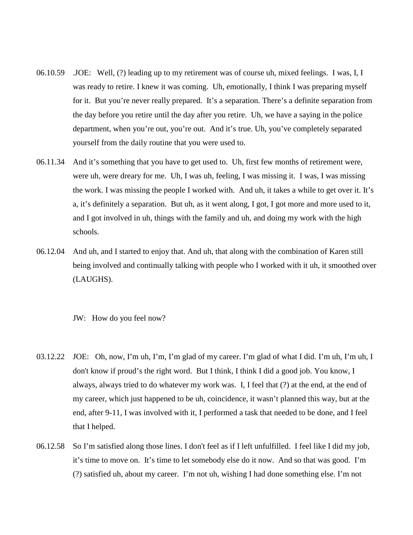- 06.10.59 .JOE: Well, (?) leading up to my retirement was of course uh, mixed feelings. I was, I, I was ready to retire. I knew it was coming. Uh, emotionally, I think I was preparing myself for it. But you're never really prepared. It's a separation. There's a definite separation from the day before you retire until the day after you retire. Uh, we have a saying in the police department, when you're out, you're out. And it's true. Uh, you've completely separated yourself from the daily routine that you were used to.
- 06.11.34 And it's something that you have to get used to. Uh, first few months of retirement were, were uh, were dreary for me. Uh, I was uh, feeling, I was missing it. I was, I was missing the work. I was missing the people I worked with. And uh, it takes a while to get over it. It's a, it's definitely a separation. But uh, as it went along, I got, I got more and more used to it, and I got involved in uh, things with the family and uh, and doing my work with the high schools.
- 06.12.04 And uh, and I started to enjoy that. And uh, that along with the combination of Karen still being involved and continually talking with people who I worked with it uh, it smoothed over (LAUGHS).

### JW: How do you feel now?

- 03.12.22 JOE: Oh, now, I'm uh, I'm, I'm glad of my career. I'm glad of what I did. I'm uh, I'm uh, I don't know if proud's the right word. But I think, I think I did a good job. You know, I always, always tried to do whatever my work was. I, I feel that (?) at the end, at the end of my career, which just happened to be uh, coincidence, it wasn't planned this way, but at the end, after 9-11, I was involved with it, I performed a task that needed to be done, and I feel that I helped.
- 06.12.58 So I'm satisfied along those lines. I don't feel as if I left unfulfilled. I feel like I did my job, it's time to move on. It's time to let somebody else do it now. And so that was good. I'm (?) satisfied uh, about my career. I'm not uh, wishing I had done something else. I'm not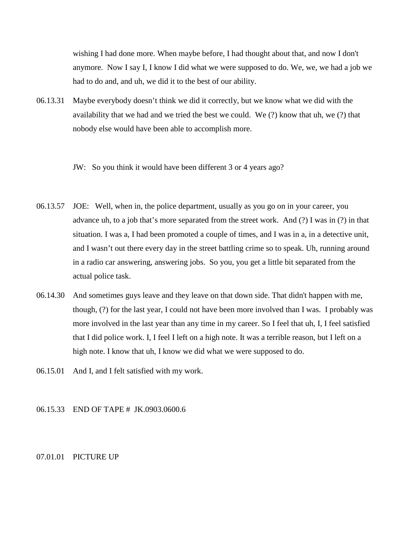wishing I had done more. When maybe before, I had thought about that, and now I don't anymore. Now I say I, I know I did what we were supposed to do. We, we, we had a job we had to do and, and uh, we did it to the best of our ability.

- 06.13.31 Maybe everybody doesn't think we did it correctly, but we know what we did with the availability that we had and we tried the best we could. We (?) know that uh, we (?) that nobody else would have been able to accomplish more.
	- JW: So you think it would have been different 3 or 4 years ago?
- 06.13.57 JOE: Well, when in, the police department, usually as you go on in your career, you advance uh, to a job that's more separated from the street work. And (?) I was in (?) in that situation. I was a, I had been promoted a couple of times, and I was in a, in a detective unit, and I wasn't out there every day in the street battling crime so to speak. Uh, running around in a radio car answering, answering jobs. So you, you get a little bit separated from the actual police task.
- 06.14.30 And sometimes guys leave and they leave on that down side. That didn't happen with me, though, (?) for the last year, I could not have been more involved than I was. I probably was more involved in the last year than any time in my career. So I feel that uh, I, I feel satisfied that I did police work. I, I feel I left on a high note. It was a terrible reason, but I left on a high note. I know that uh, I know we did what we were supposed to do.
- 06.15.01 And I, and I felt satisfied with my work.
- 06.15.33 END OF TAPE # JK.0903.0600.6

# 07.01.01 PICTURE UP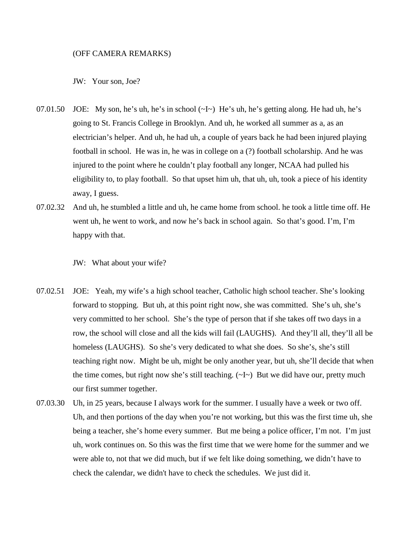#### (OFF CAMERA REMARKS)

JW: Your son, Joe?

- 07.01.50 JOE: My son, he's uh, he's in school  $(\sim I \sim)$  He's uh, he's getting along. He had uh, he's going to St. Francis College in Brooklyn. And uh, he worked all summer as a, as an electrician's helper. And uh, he had uh, a couple of years back he had been injured playing football in school. He was in, he was in college on a (?) football scholarship. And he was injured to the point where he couldn't play football any longer, NCAA had pulled his eligibility to, to play football. So that upset him uh, that uh, uh, took a piece of his identity away, I guess.
- 07.02.32 And uh, he stumbled a little and uh, he came home from school. he took a little time off. He went uh, he went to work, and now he's back in school again. So that's good. I'm, I'm happy with that.

JW: What about your wife?

- 07.02.51 JOE: Yeah, my wife's a high school teacher, Catholic high school teacher. She's looking forward to stopping. But uh, at this point right now, she was committed. She's uh, she's very committed to her school. She's the type of person that if she takes off two days in a row, the school will close and all the kids will fail (LAUGHS). And they'll all, they'll all be homeless (LAUGHS). So she's very dedicated to what she does. So she's, she's still teaching right now. Might be uh, might be only another year, but uh, she'll decide that when the time comes, but right now she's still teaching.  $(\sim I \sim)$  But we did have our, pretty much our first summer together.
- 07.03.30 Uh, in 25 years, because I always work for the summer. I usually have a week or two off. Uh, and then portions of the day when you're not working, but this was the first time uh, she being a teacher, she's home every summer. But me being a police officer, I'm not. I'm just uh, work continues on. So this was the first time that we were home for the summer and we were able to, not that we did much, but if we felt like doing something, we didn't have to check the calendar, we didn't have to check the schedules. We just did it.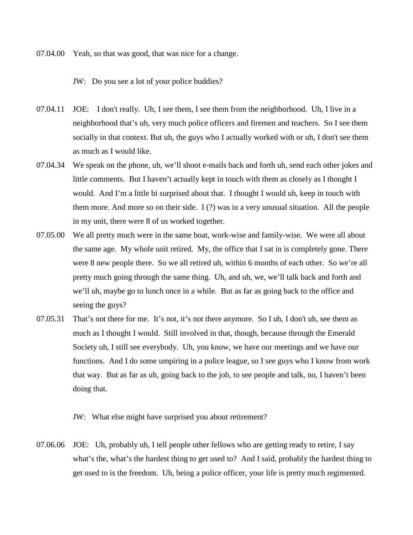07.04.00 Yeah, so that was good, that was nice for a change.

JW: Do you see a lot of your police buddies?

- 07.04.11 JOE: I don't really. Uh, I see them, I see them from the neighborhood. Uh, I live in a neighborhood that's uh, very much police officers and firemen and teachers. So I see them socially in that context. But uh, the guys who I actually worked with or uh, I don't see them as much as I would like.
- 07.04.34 We speak on the phone, uh, we'll shoot e-mails back and forth uh, send each other jokes and little comments. But I haven't actually kept in touch with them as closely as I thought I would. And I'm a little bi surprised about that. I thought I would uh, keep in touch with them more. And more so on their side. I (?) was in a very unusual situation. All the people in my unit, there were 8 of us worked together.
- 07.05.00 We all pretty much were in the same boat, work-wise and family-wise. We were all about the same age. My whole unit retired. My, the office that I sat in is completely gone. There were 8 new people there. So we all retired uh, within 6 months of each other. So we're all pretty much going through the same thing. Uh, and uh, we, we'll talk back and forth and we'll uh, maybe go to lunch once in a while. But as far as going back to the office and seeing the guys?
- 07.05.31 That's not there for me. It's not, it's not there anymore. So I uh, I don't uh, see them as much as I thought I would. Still involved in that, though, because through the Emerald Society uh, I still see everybody. Uh, you know, we have our meetings and we have our functions. And I do some umpiring in a police league, so I see guys who I know from work that way. But as far as uh, going back to the job, to see people and talk, no, I haven't been doing that.

JW: What else might have surprised you about retirement?

07.06.06 JOE: Uh, probably uh, I tell people other fellows who are getting ready to retire, I say what's the, what's the hardest thing to get used to? And I said, probably the hardest thing to get used to is the freedom. Uh, being a police officer, your life is pretty much regimented.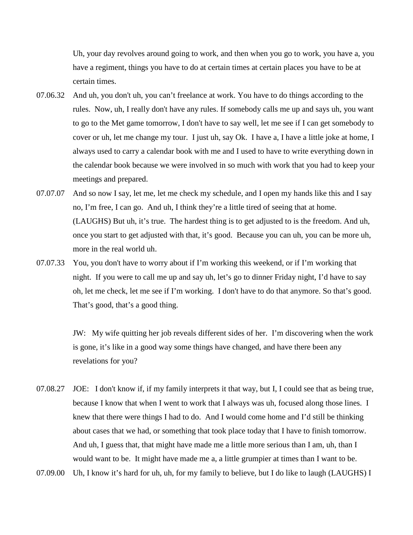Uh, your day revolves around going to work, and then when you go to work, you have a, you have a regiment, things you have to do at certain times at certain places you have to be at certain times.

- 07.06.32 And uh, you don't uh, you can't freelance at work. You have to do things according to the rules. Now, uh, I really don't have any rules. If somebody calls me up and says uh, you want to go to the Met game tomorrow, I don't have to say well, let me see if I can get somebody to cover or uh, let me change my tour. I just uh, say Ok. I have a, I have a little joke at home, I always used to carry a calendar book with me and I used to have to write everything down in the calendar book because we were involved in so much with work that you had to keep your meetings and prepared.
- 07.07.07 And so now I say, let me, let me check my schedule, and I open my hands like this and I say no, I'm free, I can go. And uh, I think they're a little tired of seeing that at home. (LAUGHS) But uh, it's true. The hardest thing is to get adjusted to is the freedom. And uh, once you start to get adjusted with that, it's good. Because you can uh, you can be more uh, more in the real world uh.
- 07.07.33 You, you don't have to worry about if I'm working this weekend, or if I'm working that night. If you were to call me up and say uh, let's go to dinner Friday night, I'd have to say oh, let me check, let me see if I'm working. I don't have to do that anymore. So that's good. That's good, that's a good thing.

JW: My wife quitting her job reveals different sides of her. I'm discovering when the work is gone, it's like in a good way some things have changed, and have there been any revelations for you?

- 07.08.27 JOE: I don't know if, if my family interprets it that way, but I, I could see that as being true, because I know that when I went to work that I always was uh, focused along those lines. I knew that there were things I had to do. And I would come home and I'd still be thinking about cases that we had, or something that took place today that I have to finish tomorrow. And uh, I guess that, that might have made me a little more serious than I am, uh, than I would want to be. It might have made me a, a little grumpier at times than I want to be.
- 07.09.00 Uh, I know it's hard for uh, uh, for my family to believe, but I do like to laugh (LAUGHS) I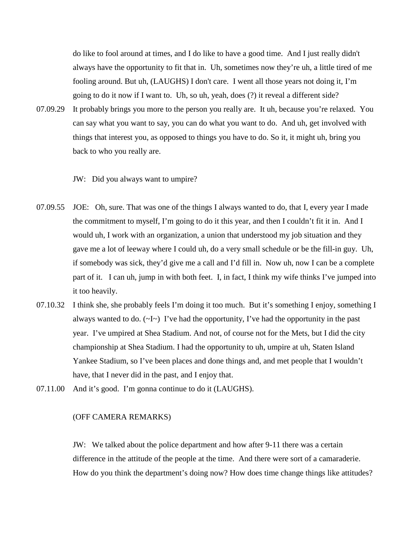do like to fool around at times, and I do like to have a good time. And I just really didn't always have the opportunity to fit that in. Uh, sometimes now they're uh, a little tired of me fooling around. But uh, (LAUGHS) I don't care. I went all those years not doing it, I'm going to do it now if I want to. Uh, so uh, yeah, does (?) it reveal a different side?

07.09.29 It probably brings you more to the person you really are. It uh, because you're relaxed. You can say what you want to say, you can do what you want to do. And uh, get involved with things that interest you, as opposed to things you have to do. So it, it might uh, bring you back to who you really are.

JW: Did you always want to umpire?

- 07.09.55 JOE: Oh, sure. That was one of the things I always wanted to do, that I, every year I made the commitment to myself, I'm going to do it this year, and then I couldn't fit it in. And I would uh, I work with an organization, a union that understood my job situation and they gave me a lot of leeway where I could uh, do a very small schedule or be the fill-in guy. Uh, if somebody was sick, they'd give me a call and I'd fill in. Now uh, now I can be a complete part of it. I can uh, jump in with both feet. I, in fact, I think my wife thinks I've jumped into it too heavily.
- 07.10.32 I think she, she probably feels I'm doing it too much. But it's something I enjoy, something I always wanted to do.  $(\sim I \sim)$  I've had the opportunity, I've had the opportunity in the past year. I've umpired at Shea Stadium. And not, of course not for the Mets, but I did the city championship at Shea Stadium. I had the opportunity to uh, umpire at uh, Staten Island Yankee Stadium, so I've been places and done things and, and met people that I wouldn't have, that I never did in the past, and I enjoy that.
- 07.11.00 And it's good. I'm gonna continue to do it (LAUGHS).

# (OFF CAMERA REMARKS)

JW: We talked about the police department and how after 9-11 there was a certain difference in the attitude of the people at the time. And there were sort of a camaraderie. How do you think the department's doing now? How does time change things like attitudes?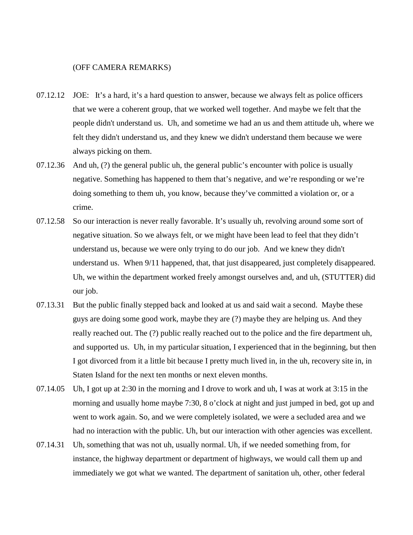## (OFF CAMERA REMARKS)

- 07.12.12 JOE: It's a hard, it's a hard question to answer, because we always felt as police officers that we were a coherent group, that we worked well together. And maybe we felt that the people didn't understand us. Uh, and sometime we had an us and them attitude uh, where we felt they didn't understand us, and they knew we didn't understand them because we were always picking on them.
- 07.12.36 And uh, (?) the general public uh, the general public's encounter with police is usually negative. Something has happened to them that's negative, and we're responding or we're doing something to them uh, you know, because they've committed a violation or, or a crime.
- 07.12.58 So our interaction is never really favorable. It's usually uh, revolving around some sort of negative situation. So we always felt, or we might have been lead to feel that they didn't understand us, because we were only trying to do our job. And we knew they didn't understand us. When 9/11 happened, that, that just disappeared, just completely disappeared. Uh, we within the department worked freely amongst ourselves and, and uh, (STUTTER) did our job.
- 07.13.31 But the public finally stepped back and looked at us and said wait a second. Maybe these guys are doing some good work, maybe they are (?) maybe they are helping us. And they really reached out. The (?) public really reached out to the police and the fire department uh, and supported us. Uh, in my particular situation, I experienced that in the beginning, but then I got divorced from it a little bit because I pretty much lived in, in the uh, recovery site in, in Staten Island for the next ten months or next eleven months.
- 07.14.05 Uh, I got up at 2:30 in the morning and I drove to work and uh, I was at work at 3:15 in the morning and usually home maybe 7:30, 8 o'clock at night and just jumped in bed, got up and went to work again. So, and we were completely isolated, we were a secluded area and we had no interaction with the public. Uh, but our interaction with other agencies was excellent.
- 07.14.31 Uh, something that was not uh, usually normal. Uh, if we needed something from, for instance, the highway department or department of highways, we would call them up and immediately we got what we wanted. The department of sanitation uh, other, other federal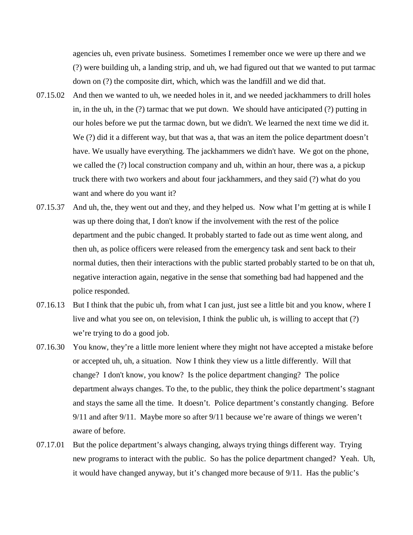agencies uh, even private business. Sometimes I remember once we were up there and we (?) were building uh, a landing strip, and uh, we had figured out that we wanted to put tarmac down on (?) the composite dirt, which, which was the landfill and we did that.

- 07.15.02 And then we wanted to uh, we needed holes in it, and we needed jackhammers to drill holes in, in the uh, in the (?) tarmac that we put down. We should have anticipated (?) putting in our holes before we put the tarmac down, but we didn't. We learned the next time we did it. We (?) did it a different way, but that was a, that was an item the police department doesn't have. We usually have everything. The jackhammers we didn't have. We got on the phone, we called the (?) local construction company and uh, within an hour, there was a, a pickup truck there with two workers and about four jackhammers, and they said (?) what do you want and where do you want it?
- 07.15.37 And uh, the, they went out and they, and they helped us. Now what I'm getting at is while I was up there doing that, I don't know if the involvement with the rest of the police department and the pubic changed. It probably started to fade out as time went along, and then uh, as police officers were released from the emergency task and sent back to their normal duties, then their interactions with the public started probably started to be on that uh, negative interaction again, negative in the sense that something bad had happened and the police responded.
- 07.16.13 But I think that the pubic uh, from what I can just, just see a little bit and you know, where I live and what you see on, on television, I think the public uh, is willing to accept that (?) we're trying to do a good job.
- 07.16.30 You know, they're a little more lenient where they might not have accepted a mistake before or accepted uh, uh, a situation. Now I think they view us a little differently. Will that change? I don't know, you know? Is the police department changing? The police department always changes. To the, to the public, they think the police department's stagnant and stays the same all the time. It doesn't. Police department's constantly changing. Before 9/11 and after 9/11. Maybe more so after 9/11 because we're aware of things we weren't aware of before.
- 07.17.01 But the police department's always changing, always trying things different way. Trying new programs to interact with the public. So has the police department changed? Yeah. Uh, it would have changed anyway, but it's changed more because of 9/11. Has the public's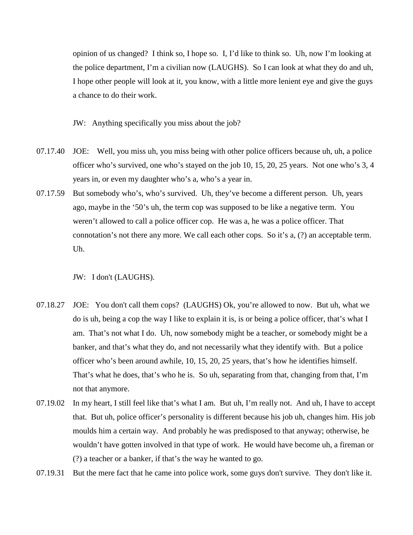opinion of us changed? I think so, I hope so. I, I'd like to think so. Uh, now I'm looking at the police department, I'm a civilian now (LAUGHS). So I can look at what they do and uh, I hope other people will look at it, you know, with a little more lenient eye and give the guys a chance to do their work.

JW: Anything specifically you miss about the job?

- 07.17.40 JOE: Well, you miss uh, you miss being with other police officers because uh, uh, a police officer who's survived, one who's stayed on the job 10, 15, 20, 25 years. Not one who's 3, 4 years in, or even my daughter who's a, who's a year in.
- 07.17.59 But somebody who's, who's survived. Uh, they've become a different person. Uh, years ago, maybe in the '50's uh, the term cop was supposed to be like a negative term. You weren't allowed to call a police officer cop. He was a, he was a police officer. That connotation's not there any more. We call each other cops. So it's a, (?) an acceptable term. Uh.

JW: I don't (LAUGHS).

- 07.18.27 JOE: You don't call them cops? (LAUGHS) Ok, you're allowed to now. But uh, what we do is uh, being a cop the way I like to explain it is, is or being a police officer, that's what I am. That's not what I do. Uh, now somebody might be a teacher, or somebody might be a banker, and that's what they do, and not necessarily what they identify with. But a police officer who's been around awhile, 10, 15, 20, 25 years, that's how he identifies himself. That's what he does, that's who he is. So uh, separating from that, changing from that, I'm not that anymore.
- 07.19.02 In my heart, I still feel like that's what I am. But uh, I'm really not. And uh, I have to accept that. But uh, police officer's personality is different because his job uh, changes him. His job moulds him a certain way. And probably he was predisposed to that anyway; otherwise, he wouldn't have gotten involved in that type of work. He would have become uh, a fireman or (?) a teacher or a banker, if that's the way he wanted to go.
- 07.19.31 But the mere fact that he came into police work, some guys don't survive. They don't like it.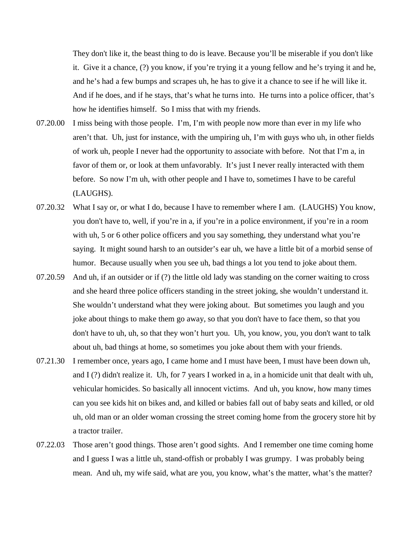They don't like it, the beast thing to do is leave. Because you'll be miserable if you don't like it. Give it a chance, (?) you know, if you're trying it a young fellow and he's trying it and he, and he's had a few bumps and scrapes uh, he has to give it a chance to see if he will like it. And if he does, and if he stays, that's what he turns into. He turns into a police officer, that's how he identifies himself. So I miss that with my friends.

- 07.20.00 I miss being with those people. I'm, I'm with people now more than ever in my life who aren't that. Uh, just for instance, with the umpiring uh, I'm with guys who uh, in other fields of work uh, people I never had the opportunity to associate with before. Not that I'm a, in favor of them or, or look at them unfavorably. It's just I never really interacted with them before. So now I'm uh, with other people and I have to, sometimes I have to be careful (LAUGHS).
- 07.20.32 What I say or, or what I do, because I have to remember where I am. (LAUGHS) You know, you don't have to, well, if you're in a, if you're in a police environment, if you're in a room with uh, 5 or 6 other police officers and you say something, they understand what you're saying. It might sound harsh to an outsider's ear uh, we have a little bit of a morbid sense of humor. Because usually when you see uh, bad things a lot you tend to joke about them.
- 07.20.59 And uh, if an outsider or if (?) the little old lady was standing on the corner waiting to cross and she heard three police officers standing in the street joking, she wouldn't understand it. She wouldn't understand what they were joking about. But sometimes you laugh and you joke about things to make them go away, so that you don't have to face them, so that you don't have to uh, uh, so that they won't hurt you. Uh, you know, you, you don't want to talk about uh, bad things at home, so sometimes you joke about them with your friends.
- 07.21.30 I remember once, years ago, I came home and I must have been, I must have been down uh, and I (?) didn't realize it. Uh, for 7 years I worked in a, in a homicide unit that dealt with uh, vehicular homicides. So basically all innocent victims. And uh, you know, how many times can you see kids hit on bikes and, and killed or babies fall out of baby seats and killed, or old uh, old man or an older woman crossing the street coming home from the grocery store hit by a tractor trailer.
- 07.22.03 Those aren't good things. Those aren't good sights. And I remember one time coming home and I guess I was a little uh, stand-offish or probably I was grumpy. I was probably being mean. And uh, my wife said, what are you, you know, what's the matter, what's the matter?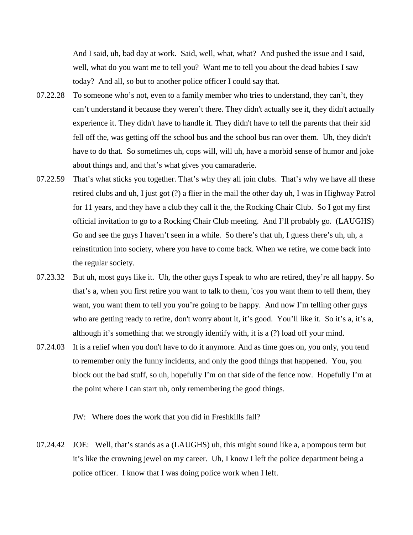And I said, uh, bad day at work. Said, well, what, what? And pushed the issue and I said, well, what do you want me to tell you? Want me to tell you about the dead babies I saw today? And all, so but to another police officer I could say that.

- 07.22.28 To someone who's not, even to a family member who tries to understand, they can't, they can't understand it because they weren't there. They didn't actually see it, they didn't actually experience it. They didn't have to handle it. They didn't have to tell the parents that their kid fell off the, was getting off the school bus and the school bus ran over them. Uh, they didn't have to do that. So sometimes uh, cops will, will uh, have a morbid sense of humor and joke about things and, and that's what gives you camaraderie.
- 07.22.59 That's what sticks you together. That's why they all join clubs. That's why we have all these retired clubs and uh, I just got (?) a flier in the mail the other day uh, I was in Highway Patrol for 11 years, and they have a club they call it the, the Rocking Chair Club. So I got my first official invitation to go to a Rocking Chair Club meeting. And I'll probably go. (LAUGHS) Go and see the guys I haven't seen in a while. So there's that uh, I guess there's uh, uh, a reinstitution into society, where you have to come back. When we retire, we come back into the regular society.
- 07.23.32 But uh, most guys like it. Uh, the other guys I speak to who are retired, they're all happy. So that's a, when you first retire you want to talk to them, 'cos you want them to tell them, they want, you want them to tell you you're going to be happy. And now I'm telling other guys who are getting ready to retire, don't worry about it, it's good. You'll like it. So it's a, it's a, although it's something that we strongly identify with, it is a (?) load off your mind.
- 07.24.03 It is a relief when you don't have to do it anymore. And as time goes on, you only, you tend to remember only the funny incidents, and only the good things that happened. You, you block out the bad stuff, so uh, hopefully I'm on that side of the fence now. Hopefully I'm at the point where I can start uh, only remembering the good things.

JW: Where does the work that you did in Freshkills fall?

07.24.42 JOE: Well, that's stands as a (LAUGHS) uh, this might sound like a, a pompous term but it's like the crowning jewel on my career. Uh, I know I left the police department being a police officer. I know that I was doing police work when I left.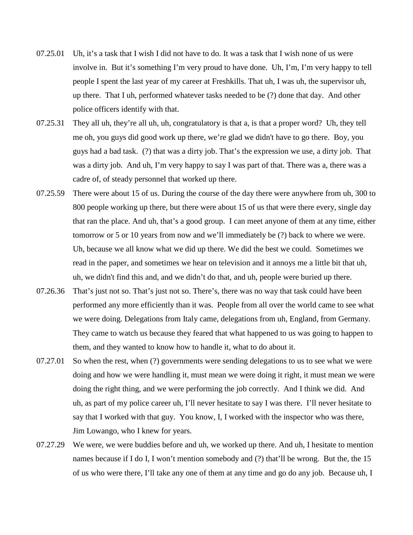- 07.25.01 Uh, it's a task that I wish I did not have to do. It was a task that I wish none of us were involve in. But it's something I'm very proud to have done. Uh, I'm, I'm very happy to tell people I spent the last year of my career at Freshkills. That uh, I was uh, the supervisor uh, up there. That I uh, performed whatever tasks needed to be (?) done that day. And other police officers identify with that.
- 07.25.31 They all uh, they're all uh, uh, congratulatory is that a, is that a proper word? Uh, they tell me oh, you guys did good work up there, we're glad we didn't have to go there. Boy, you guys had a bad task. (?) that was a dirty job. That's the expression we use, a dirty job. That was a dirty job. And uh, I'm very happy to say I was part of that. There was a, there was a cadre of, of steady personnel that worked up there.
- 07.25.59 There were about 15 of us. During the course of the day there were anywhere from uh, 300 to 800 people working up there, but there were about 15 of us that were there every, single day that ran the place. And uh, that's a good group. I can meet anyone of them at any time, either tomorrow or 5 or 10 years from now and we'll immediately be (?) back to where we were. Uh, because we all know what we did up there. We did the best we could. Sometimes we read in the paper, and sometimes we hear on television and it annoys me a little bit that uh, uh, we didn't find this and, and we didn't do that, and uh, people were buried up there.
- 07.26.36 That's just not so. That's just not so. There's, there was no way that task could have been performed any more efficiently than it was. People from all over the world came to see what we were doing. Delegations from Italy came, delegations from uh, England, from Germany. They came to watch us because they feared that what happened to us was going to happen to them, and they wanted to know how to handle it, what to do about it.
- 07.27.01 So when the rest, when (?) governments were sending delegations to us to see what we were doing and how we were handling it, must mean we were doing it right, it must mean we were doing the right thing, and we were performing the job correctly. And I think we did. And uh, as part of my police career uh, I'll never hesitate to say I was there. I'll never hesitate to say that I worked with that guy. You know, I, I worked with the inspector who was there, Jim Lowango, who I knew for years.
- 07.27.29 We were, we were buddies before and uh, we worked up there. And uh, I hesitate to mention names because if I do I, I won't mention somebody and (?) that'll be wrong. But the, the 15 of us who were there, I'll take any one of them at any time and go do any job. Because uh, I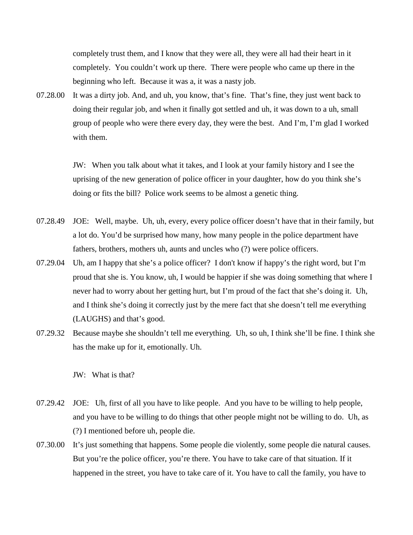completely trust them, and I know that they were all, they were all had their heart in it completely. You couldn't work up there. There were people who came up there in the beginning who left. Because it was a, it was a nasty job.

07.28.00 It was a dirty job. And, and uh, you know, that's fine. That's fine, they just went back to doing their regular job, and when it finally got settled and uh, it was down to a uh, small group of people who were there every day, they were the best. And I'm, I'm glad I worked with them.

> JW: When you talk about what it takes, and I look at your family history and I see the uprising of the new generation of police officer in your daughter, how do you think she's doing or fits the bill? Police work seems to be almost a genetic thing.

- 07.28.49 JOE: Well, maybe. Uh, uh, every, every police officer doesn't have that in their family, but a lot do. You'd be surprised how many, how many people in the police department have fathers, brothers, mothers uh, aunts and uncles who (?) were police officers.
- 07.29.04 Uh, am I happy that she's a police officer? I don't know if happy's the right word, but I'm proud that she is. You know, uh, I would be happier if she was doing something that where I never had to worry about her getting hurt, but I'm proud of the fact that she's doing it. Uh, and I think she's doing it correctly just by the mere fact that she doesn't tell me everything (LAUGHS) and that's good.
- 07.29.32 Because maybe she shouldn't tell me everything. Uh, so uh, I think she'll be fine. I think she has the make up for it, emotionally. Uh.

JW: What is that?

- 07.29.42 JOE: Uh, first of all you have to like people. And you have to be willing to help people, and you have to be willing to do things that other people might not be willing to do. Uh, as (?) I mentioned before uh, people die.
- 07.30.00 It's just something that happens. Some people die violently, some people die natural causes. But you're the police officer, you're there. You have to take care of that situation. If it happened in the street, you have to take care of it. You have to call the family, you have to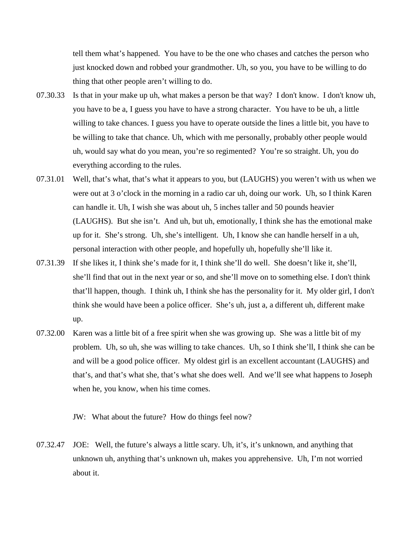tell them what's happened. You have to be the one who chases and catches the person who just knocked down and robbed your grandmother. Uh, so you, you have to be willing to do thing that other people aren't willing to do.

- 07.30.33 Is that in your make up uh, what makes a person be that way? I don't know. I don't know uh, you have to be a, I guess you have to have a strong character. You have to be uh, a little willing to take chances. I guess you have to operate outside the lines a little bit, you have to be willing to take that chance. Uh, which with me personally, probably other people would uh, would say what do you mean, you're so regimented? You're so straight. Uh, you do everything according to the rules.
- 07.31.01 Well, that's what, that's what it appears to you, but (LAUGHS) you weren't with us when we were out at 3 o'clock in the morning in a radio car uh, doing our work. Uh, so I think Karen can handle it. Uh, I wish she was about uh, 5 inches taller and 50 pounds heavier (LAUGHS). But she isn't. And uh, but uh, emotionally, I think she has the emotional make up for it. She's strong. Uh, she's intelligent. Uh, I know she can handle herself in a uh, personal interaction with other people, and hopefully uh, hopefully she'll like it.
- 07.31.39 If she likes it, I think she's made for it, I think she'll do well. She doesn't like it, she'll, she'll find that out in the next year or so, and she'll move on to something else. I don't think that'll happen, though. I think uh, I think she has the personality for it. My older girl, I don't think she would have been a police officer. She's uh, just a, a different uh, different make up.
- 07.32.00 Karen was a little bit of a free spirit when she was growing up. She was a little bit of my problem. Uh, so uh, she was willing to take chances. Uh, so I think she'll, I think she can be and will be a good police officer. My oldest girl is an excellent accountant (LAUGHS) and that's, and that's what she, that's what she does well. And we'll see what happens to Joseph when he, you know, when his time comes.

JW: What about the future? How do things feel now?

07.32.47 JOE: Well, the future's always a little scary. Uh, it's, it's unknown, and anything that unknown uh, anything that's unknown uh, makes you apprehensive. Uh, I'm not worried about it.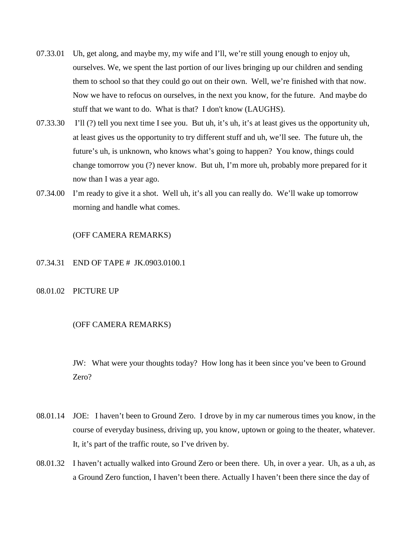- 07.33.01 Uh, get along, and maybe my, my wife and I'll, we're still young enough to enjoy uh, ourselves. We, we spent the last portion of our lives bringing up our children and sending them to school so that they could go out on their own. Well, we're finished with that now. Now we have to refocus on ourselves, in the next you know, for the future. And maybe do stuff that we want to do. What is that? I don't know (LAUGHS).
- 07.33.30 I'll (?) tell you next time I see you. But uh, it's uh, it's at least gives us the opportunity uh, at least gives us the opportunity to try different stuff and uh, we'll see. The future uh, the future's uh, is unknown, who knows what's going to happen? You know, things could change tomorrow you (?) never know. But uh, I'm more uh, probably more prepared for it now than I was a year ago.
- 07.34.00 I'm ready to give it a shot. Well uh, it's all you can really do. We'll wake up tomorrow morning and handle what comes.

# (OFF CAMERA REMARKS)

- 07.34.31 END OF TAPE # JK.0903.0100.1
- 08.01.02 PICTURE UP

# (OFF CAMERA REMARKS)

JW: What were your thoughts today? How long has it been since you've been to Ground Zero?

- 08.01.14 JOE: I haven't been to Ground Zero. I drove by in my car numerous times you know, in the course of everyday business, driving up, you know, uptown or going to the theater, whatever. It, it's part of the traffic route, so I've driven by.
- 08.01.32 I haven't actually walked into Ground Zero or been there. Uh, in over a year. Uh, as a uh, as a Ground Zero function, I haven't been there. Actually I haven't been there since the day of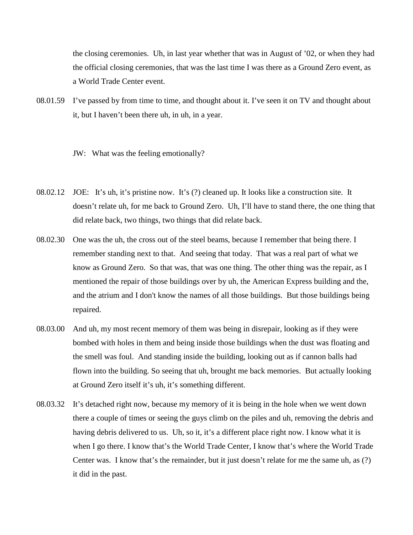the closing ceremonies. Uh, in last year whether that was in August of '02, or when they had the official closing ceremonies, that was the last time I was there as a Ground Zero event, as a World Trade Center event.

08.01.59 I've passed by from time to time, and thought about it. I've seen it on TV and thought about it, but I haven't been there uh, in uh, in a year.

JW: What was the feeling emotionally?

- 08.02.12 JOE: It's uh, it's pristine now. It's (?) cleaned up. It looks like a construction site. It doesn't relate uh, for me back to Ground Zero. Uh, I'll have to stand there, the one thing that did relate back, two things, two things that did relate back.
- 08.02.30 One was the uh, the cross out of the steel beams, because I remember that being there. I remember standing next to that. And seeing that today. That was a real part of what we know as Ground Zero. So that was, that was one thing. The other thing was the repair, as I mentioned the repair of those buildings over by uh, the American Express building and the, and the atrium and I don't know the names of all those buildings. But those buildings being repaired.
- 08.03.00 And uh, my most recent memory of them was being in disrepair, looking as if they were bombed with holes in them and being inside those buildings when the dust was floating and the smell was foul. And standing inside the building, looking out as if cannon balls had flown into the building. So seeing that uh, brought me back memories. But actually looking at Ground Zero itself it's uh, it's something different.
- 08.03.32 It's detached right now, because my memory of it is being in the hole when we went down there a couple of times or seeing the guys climb on the piles and uh, removing the debris and having debris delivered to us. Uh, so it, it's a different place right now. I know what it is when I go there. I know that's the World Trade Center, I know that's where the World Trade Center was. I know that's the remainder, but it just doesn't relate for me the same uh, as (?) it did in the past.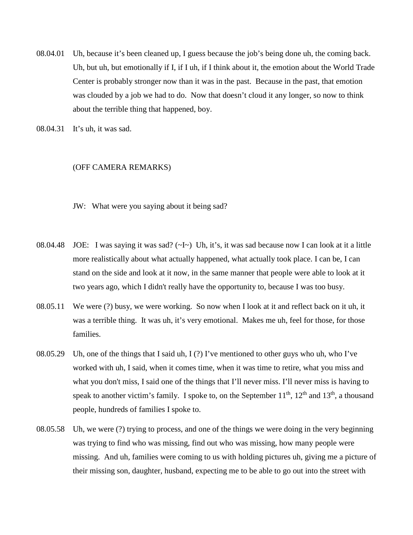08.04.01 Uh, because it's been cleaned up, I guess because the job's being done uh, the coming back. Uh, but uh, but emotionally if I, if I uh, if I think about it, the emotion about the World Trade Center is probably stronger now than it was in the past. Because in the past, that emotion was clouded by a job we had to do. Now that doesn't cloud it any longer, so now to think about the terrible thing that happened, boy.

08.04.31 It's uh, it was sad.

## (OFF CAMERA REMARKS)

JW: What were you saying about it being sad?

- 08.04.48 JOE: I was saying it was sad? (~I~) Uh, it's, it was sad because now I can look at it a little more realistically about what actually happened, what actually took place. I can be, I can stand on the side and look at it now, in the same manner that people were able to look at it two years ago, which I didn't really have the opportunity to, because I was too busy.
- 08.05.11 We were (?) busy, we were working. So now when I look at it and reflect back on it uh, it was a terrible thing. It was uh, it's very emotional. Makes me uh, feel for those, for those families.
- 08.05.29 Uh, one of the things that I said uh, I (?) I've mentioned to other guys who uh, who I've worked with uh, I said, when it comes time, when it was time to retire, what you miss and what you don't miss, I said one of the things that I'll never miss. I'll never miss is having to speak to another victim's family. I spoke to, on the September  $11^{th}$ ,  $12^{th}$  and  $13^{th}$ , a thousand people, hundreds of families I spoke to.
- 08.05.58 Uh, we were (?) trying to process, and one of the things we were doing in the very beginning was trying to find who was missing, find out who was missing, how many people were missing. And uh, families were coming to us with holding pictures uh, giving me a picture of their missing son, daughter, husband, expecting me to be able to go out into the street with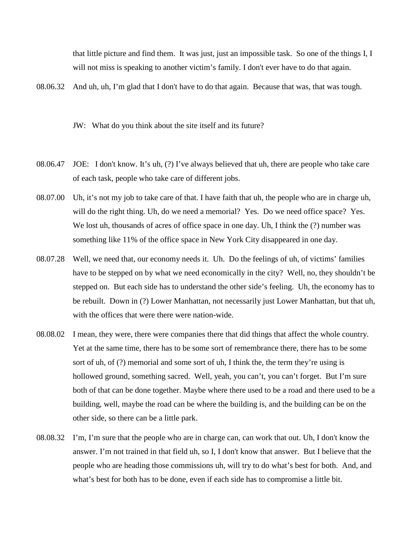that little picture and find them. It was just, just an impossible task. So one of the things I, I will not miss is speaking to another victim's family. I don't ever have to do that again.

08.06.32 And uh, uh, I'm glad that I don't have to do that again. Because that was, that was tough.

JW: What do you think about the site itself and its future?

- 08.06.47 JOE: I don't know. It's uh, (?) I've always believed that uh, there are people who take care of each task, people who take care of different jobs.
- 08.07.00 Uh, it's not my job to take care of that. I have faith that uh, the people who are in charge uh, will do the right thing. Uh, do we need a memorial? Yes. Do we need office space? Yes. We lost uh, thousands of acres of office space in one day. Uh, I think the (?) number was something like 11% of the office space in New York City disappeared in one day.
- 08.07.28 Well, we need that, our economy needs it. Uh. Do the feelings of uh, of victims' families have to be stepped on by what we need economically in the city? Well, no, they shouldn't be stepped on. But each side has to understand the other side's feeling. Uh, the economy has to be rebuilt. Down in (?) Lower Manhattan, not necessarily just Lower Manhattan, but that uh, with the offices that were there were nation-wide.
- 08.08.02 I mean, they were, there were companies there that did things that affect the whole country. Yet at the same time, there has to be some sort of remembrance there, there has to be some sort of uh, of (?) memorial and some sort of uh, I think the, the term they're using is hollowed ground, something sacred. Well, yeah, you can't, you can't forget. But I'm sure both of that can be done together. Maybe where there used to be a road and there used to be a building, well, maybe the road can be where the building is, and the building can be on the other side, so there can be a little park.
- 08.08.32 I'm, I'm sure that the people who are in charge can, can work that out. Uh, I don't know the answer. I'm not trained in that field uh, so I, I don't know that answer. But I believe that the people who are heading those commissions uh, will try to do what's best for both. And, and what's best for both has to be done, even if each side has to compromise a little bit.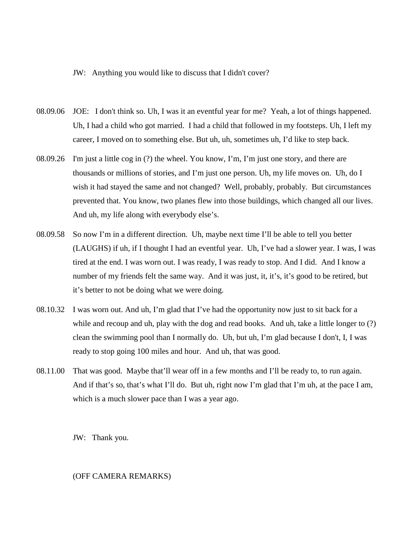### JW: Anything you would like to discuss that I didn't cover?

- 08.09.06 JOE: I don't think so. Uh, I was it an eventful year for me? Yeah, a lot of things happened. Uh, I had a child who got married. I had a child that followed in my footsteps. Uh, I left my career, I moved on to something else. But uh, uh, sometimes uh, I'd like to step back.
- 08.09.26 I'm just a little cog in (?) the wheel. You know, I'm, I'm just one story, and there are thousands or millions of stories, and I'm just one person. Uh, my life moves on. Uh, do I wish it had stayed the same and not changed? Well, probably, probably. But circumstances prevented that. You know, two planes flew into those buildings, which changed all our lives. And uh, my life along with everybody else's.
- 08.09.58 So now I'm in a different direction. Uh, maybe next time I'll be able to tell you better (LAUGHS) if uh, if I thought I had an eventful year. Uh, I've had a slower year. I was, I was tired at the end. I was worn out. I was ready, I was ready to stop. And I did. And I know a number of my friends felt the same way. And it was just, it, it's, it's good to be retired, but it's better to not be doing what we were doing.
- 08.10.32 I was worn out. And uh, I'm glad that I've had the opportunity now just to sit back for a while and recoup and uh, play with the dog and read books. And uh, take a little longer to (?) clean the swimming pool than I normally do. Uh, but uh, I'm glad because I don't, I, I was ready to stop going 100 miles and hour. And uh, that was good.
- 08.11.00 That was good. Maybe that'll wear off in a few months and I'll be ready to, to run again. And if that's so, that's what I'll do. But uh, right now I'm glad that I'm uh, at the pace I am, which is a much slower pace than I was a year ago.

JW: Thank you.

## (OFF CAMERA REMARKS)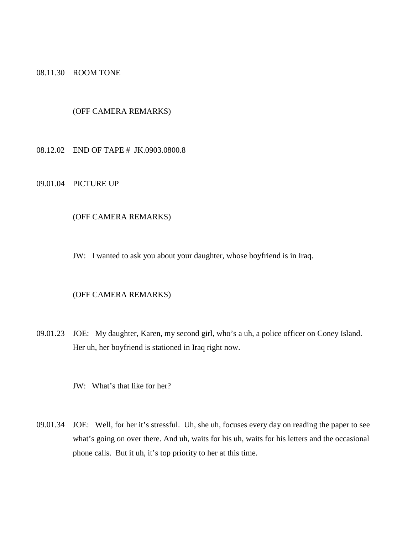08.11.30 ROOM TONE

# (OFF CAMERA REMARKS)

08.12.02 END OF TAPE # JK.0903.0800.8

# 09.01.04 PICTURE UP

## (OFF CAMERA REMARKS)

JW: I wanted to ask you about your daughter, whose boyfriend is in Iraq.

### (OFF CAMERA REMARKS)

09.01.23 JOE: My daughter, Karen, my second girl, who's a uh, a police officer on Coney Island. Her uh, her boyfriend is stationed in Iraq right now.

JW: What's that like for her?

09.01.34 JOE: Well, for her it's stressful. Uh, she uh, focuses every day on reading the paper to see what's going on over there. And uh, waits for his uh, waits for his letters and the occasional phone calls. But it uh, it's top priority to her at this time.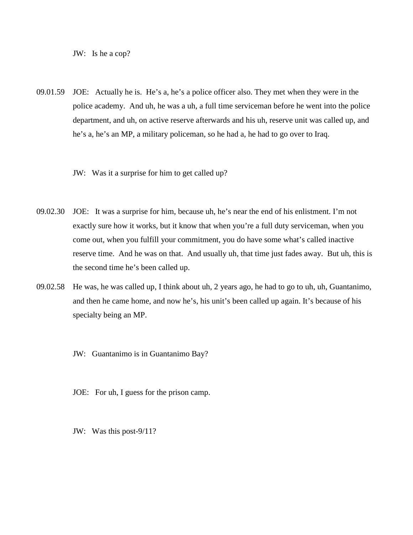JW: Is he a cop?

- 09.01.59 JOE: Actually he is. He's a, he's a police officer also. They met when they were in the police academy. And uh, he was a uh, a full time serviceman before he went into the police department, and uh, on active reserve afterwards and his uh, reserve unit was called up, and he's a, he's an MP, a military policeman, so he had a, he had to go over to Iraq.
	- JW: Was it a surprise for him to get called up?
- 09.02.30 JOE: It was a surprise for him, because uh, he's near the end of his enlistment. I'm not exactly sure how it works, but it know that when you're a full duty serviceman, when you come out, when you fulfill your commitment, you do have some what's called inactive reserve time. And he was on that. And usually uh, that time just fades away. But uh, this is the second time he's been called up.
- 09.02.58 He was, he was called up, I think about uh, 2 years ago, he had to go to uh, uh, Guantanimo, and then he came home, and now he's, his unit's been called up again. It's because of his specialty being an MP.
	- JW: Guantanimo is in Guantanimo Bay?
	- JOE: For uh, I guess for the prison camp.
	- JW: Was this post-9/11?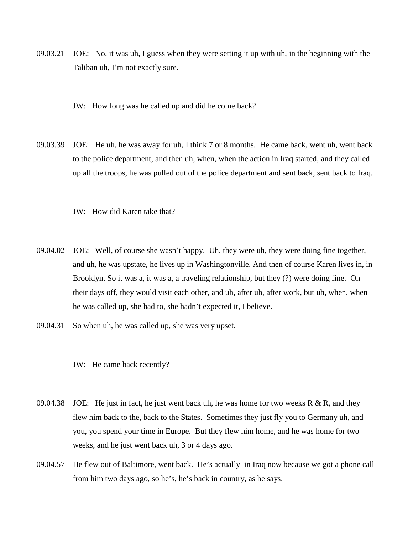- 09.03.21 JOE: No, it was uh, I guess when they were setting it up with uh, in the beginning with the Taliban uh, I'm not exactly sure.
	- JW: How long was he called up and did he come back?
- 09.03.39 JOE: He uh, he was away for uh, I think 7 or 8 months. He came back, went uh, went back to the police department, and then uh, when, when the action in Iraq started, and they called up all the troops, he was pulled out of the police department and sent back, sent back to Iraq.
	- JW: How did Karen take that?
- 09.04.02 JOE: Well, of course she wasn't happy. Uh, they were uh, they were doing fine together, and uh, he was upstate, he lives up in Washingtonville. And then of course Karen lives in, in Brooklyn. So it was a, it was a, a traveling relationship, but they (?) were doing fine. On their days off, they would visit each other, and uh, after uh, after work, but uh, when, when he was called up, she had to, she hadn't expected it, I believe.
- 09.04.31 So when uh, he was called up, she was very upset.
	- JW: He came back recently?
- 09.04.38 JOE: He just in fact, he just went back uh, he was home for two weeks R & R, and they flew him back to the, back to the States. Sometimes they just fly you to Germany uh, and you, you spend your time in Europe. But they flew him home, and he was home for two weeks, and he just went back uh, 3 or 4 days ago.
- 09.04.57 He flew out of Baltimore, went back. He's actually in Iraq now because we got a phone call from him two days ago, so he's, he's back in country, as he says.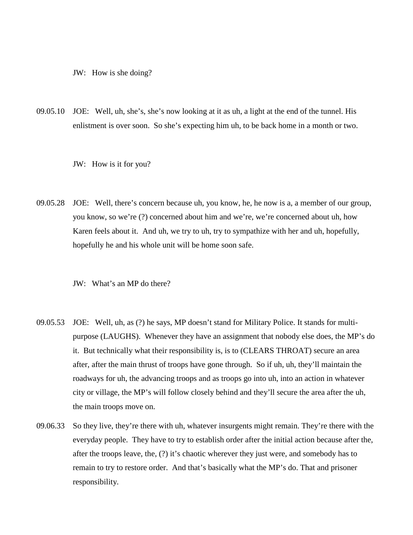JW: How is she doing?

09.05.10 JOE: Well, uh, she's, she's now looking at it as uh, a light at the end of the tunnel. His enlistment is over soon. So she's expecting him uh, to be back home in a month or two.

JW: How is it for you?

09.05.28 JOE: Well, there's concern because uh, you know, he, he now is a, a member of our group, you know, so we're (?) concerned about him and we're, we're concerned about uh, how Karen feels about it. And uh, we try to uh, try to sympathize with her and uh, hopefully, hopefully he and his whole unit will be home soon safe.

JW: What's an MP do there?

- 09.05.53 JOE: Well, uh, as (?) he says, MP doesn't stand for Military Police. It stands for multipurpose (LAUGHS). Whenever they have an assignment that nobody else does, the MP's do it. But technically what their responsibility is, is to (CLEARS THROAT) secure an area after, after the main thrust of troops have gone through. So if uh, uh, they'll maintain the roadways for uh, the advancing troops and as troops go into uh, into an action in whatever city or village, the MP's will follow closely behind and they'll secure the area after the uh, the main troops move on.
- 09.06.33 So they live, they're there with uh, whatever insurgents might remain. They're there with the everyday people. They have to try to establish order after the initial action because after the, after the troops leave, the, (?) it's chaotic wherever they just were, and somebody has to remain to try to restore order. And that's basically what the MP's do. That and prisoner responsibility.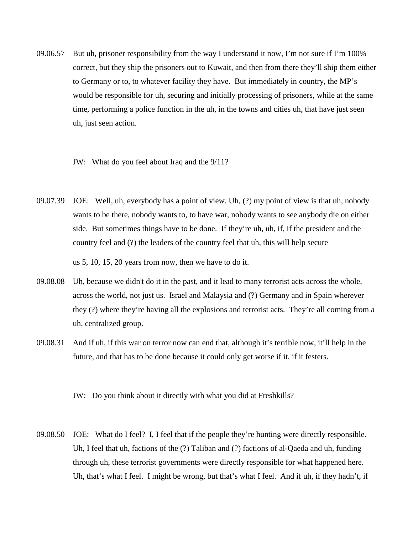09.06.57 But uh, prisoner responsibility from the way I understand it now, I'm not sure if I'm 100% correct, but they ship the prisoners out to Kuwait, and then from there they'll ship them either to Germany or to, to whatever facility they have. But immediately in country, the MP's would be responsible for uh, securing and initially processing of prisoners, while at the same time, performing a police function in the uh, in the towns and cities uh, that have just seen uh, just seen action.

### JW: What do you feel about Iraq and the 9/11?

09.07.39 JOE: Well, uh, everybody has a point of view. Uh, (?) my point of view is that uh, nobody wants to be there, nobody wants to, to have war, nobody wants to see anybody die on either side. But sometimes things have to be done. If they're uh, uh, if, if the president and the country feel and (?) the leaders of the country feel that uh, this will help secure

us 5, 10, 15, 20 years from now, then we have to do it.

- 09.08.08 Uh, because we didn't do it in the past, and it lead to many terrorist acts across the whole, across the world, not just us. Israel and Malaysia and (?) Germany and in Spain wherever they (?) where they're having all the explosions and terrorist acts. They're all coming from a uh, centralized group.
- 09.08.31 And if uh, if this war on terror now can end that, although it's terrible now, it'll help in the future, and that has to be done because it could only get worse if it, if it festers.

JW: Do you think about it directly with what you did at Freshkills?

09.08.50 JOE: What do I feel? I, I feel that if the people they're hunting were directly responsible. Uh, I feel that uh, factions of the (?) Taliban and (?) factions of al-Qaeda and uh, funding through uh, these terrorist governments were directly responsible for what happened here. Uh, that's what I feel. I might be wrong, but that's what I feel. And if uh, if they hadn't, if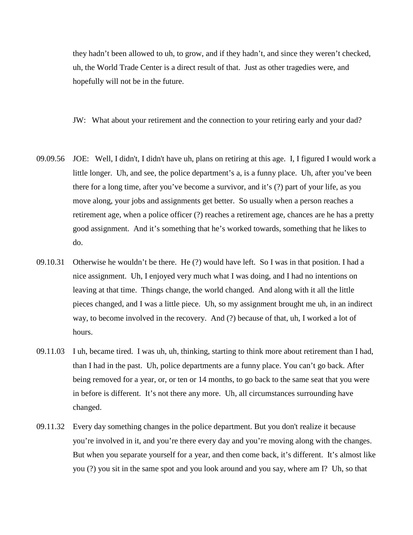they hadn't been allowed to uh, to grow, and if they hadn't, and since they weren't checked, uh, the World Trade Center is a direct result of that. Just as other tragedies were, and hopefully will not be in the future.

JW: What about your retirement and the connection to your retiring early and your dad?

- 09.09.56 JOE: Well, I didn't, I didn't have uh, plans on retiring at this age. I, I figured I would work a little longer. Uh, and see, the police department's a, is a funny place. Uh, after you've been there for a long time, after you've become a survivor, and it's (?) part of your life, as you move along, your jobs and assignments get better. So usually when a person reaches a retirement age, when a police officer (?) reaches a retirement age, chances are he has a pretty good assignment. And it's something that he's worked towards, something that he likes to do.
- 09.10.31 Otherwise he wouldn't be there. He (?) would have left. So I was in that position. I had a nice assignment. Uh, I enjoyed very much what I was doing, and I had no intentions on leaving at that time. Things change, the world changed. And along with it all the little pieces changed, and I was a little piece. Uh, so my assignment brought me uh, in an indirect way, to become involved in the recovery. And (?) because of that, uh, I worked a lot of hours.
- 09.11.03 I uh, became tired. I was uh, uh, thinking, starting to think more about retirement than I had, than I had in the past. Uh, police departments are a funny place. You can't go back. After being removed for a year, or, or ten or 14 months, to go back to the same seat that you were in before is different. It's not there any more. Uh, all circumstances surrounding have changed.
- 09.11.32 Every day something changes in the police department. But you don't realize it because you're involved in it, and you're there every day and you're moving along with the changes. But when you separate yourself for a year, and then come back, it's different. It's almost like you (?) you sit in the same spot and you look around and you say, where am I? Uh, so that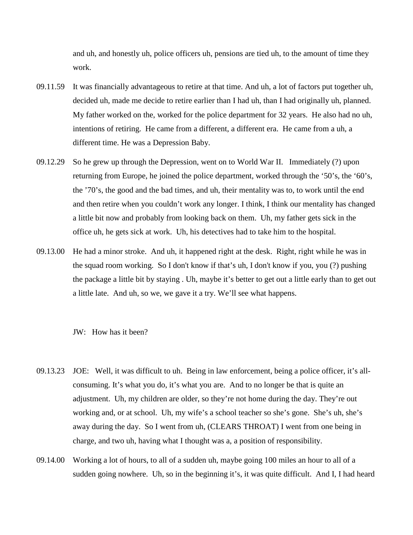and uh, and honestly uh, police officers uh, pensions are tied uh, to the amount of time they work.

- 09.11.59 It was financially advantageous to retire at that time. And uh, a lot of factors put together uh, decided uh, made me decide to retire earlier than I had uh, than I had originally uh, planned. My father worked on the, worked for the police department for 32 years. He also had no uh, intentions of retiring. He came from a different, a different era. He came from a uh, a different time. He was a Depression Baby.
- 09.12.29 So he grew up through the Depression, went on to World War II. Immediately (?) upon returning from Europe, he joined the police department, worked through the '50's, the '60's, the '70's, the good and the bad times, and uh, their mentality was to, to work until the end and then retire when you couldn't work any longer. I think, I think our mentality has changed a little bit now and probably from looking back on them. Uh, my father gets sick in the office uh, he gets sick at work. Uh, his detectives had to take him to the hospital.
- 09.13.00 He had a minor stroke. And uh, it happened right at the desk. Right, right while he was in the squad room working. So I don't know if that's uh, I don't know if you, you (?) pushing the package a little bit by staying . Uh, maybe it's better to get out a little early than to get out a little late. And uh, so we, we gave it a try. We'll see what happens.

# JW: How has it been?

- 09.13.23 JOE: Well, it was difficult to uh. Being in law enforcement, being a police officer, it's allconsuming. It's what you do, it's what you are. And to no longer be that is quite an adjustment. Uh, my children are older, so they're not home during the day. They're out working and, or at school. Uh, my wife's a school teacher so she's gone. She's uh, she's away during the day. So I went from uh, (CLEARS THROAT) I went from one being in charge, and two uh, having what I thought was a, a position of responsibility.
- 09.14.00 Working a lot of hours, to all of a sudden uh, maybe going 100 miles an hour to all of a sudden going nowhere. Uh, so in the beginning it's, it was quite difficult. And I, I had heard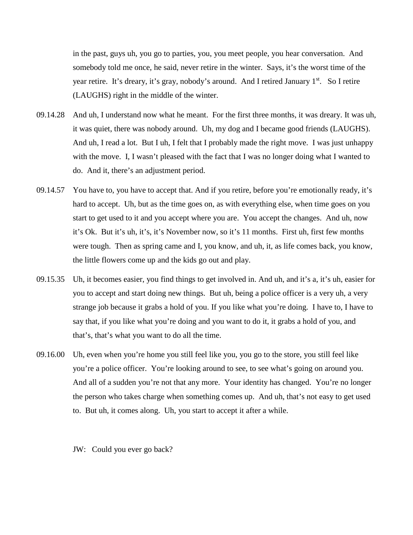in the past, guys uh, you go to parties, you, you meet people, you hear conversation. And somebody told me once, he said, never retire in the winter. Says, it's the worst time of the year retire. It's dreary, it's gray, nobody's around. And I retired January 1<sup>st</sup>. So I retire (LAUGHS) right in the middle of the winter.

- 09.14.28 And uh, I understand now what he meant. For the first three months, it was dreary. It was uh, it was quiet, there was nobody around. Uh, my dog and I became good friends (LAUGHS). And uh, I read a lot. But I uh, I felt that I probably made the right move. I was just unhappy with the move. I, I wasn't pleased with the fact that I was no longer doing what I wanted to do. And it, there's an adjustment period.
- 09.14.57 You have to, you have to accept that. And if you retire, before you're emotionally ready, it's hard to accept. Uh, but as the time goes on, as with everything else, when time goes on you start to get used to it and you accept where you are. You accept the changes. And uh, now it's Ok. But it's uh, it's, it's November now, so it's 11 months. First uh, first few months were tough. Then as spring came and I, you know, and uh, it, as life comes back, you know, the little flowers come up and the kids go out and play.
- 09.15.35 Uh, it becomes easier, you find things to get involved in. And uh, and it's a, it's uh, easier for you to accept and start doing new things. But uh, being a police officer is a very uh, a very strange job because it grabs a hold of you. If you like what you're doing. I have to, I have to say that, if you like what you're doing and you want to do it, it grabs a hold of you, and that's, that's what you want to do all the time.
- 09.16.00 Uh, even when you're home you still feel like you, you go to the store, you still feel like you're a police officer. You're looking around to see, to see what's going on around you. And all of a sudden you're not that any more. Your identity has changed. You're no longer the person who takes charge when something comes up. And uh, that's not easy to get used to. But uh, it comes along. Uh, you start to accept it after a while.

JW: Could you ever go back?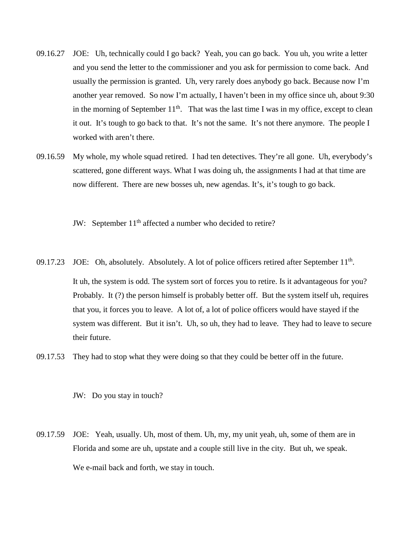- 09.16.27 JOE: Uh, technically could I go back? Yeah, you can go back. You uh, you write a letter and you send the letter to the commissioner and you ask for permission to come back. And usually the permission is granted. Uh, very rarely does anybody go back. Because now I'm another year removed. So now I'm actually, I haven't been in my office since uh, about 9:30 in the morning of September  $11<sup>th</sup>$ . That was the last time I was in my office, except to clean it out. It's tough to go back to that. It's not the same. It's not there anymore. The people I worked with aren't there.
- 09.16.59 My whole, my whole squad retired. I had ten detectives. They're all gone. Uh, everybody's scattered, gone different ways. What I was doing uh, the assignments I had at that time are now different. There are new bosses uh, new agendas. It's, it's tough to go back.

JW: September 11<sup>th</sup> affected a number who decided to retire?

- 09.17.23 JOE: Oh, absolutely. Absolutely. A lot of police officers retired after September 11<sup>th</sup>. It uh, the system is odd. The system sort of forces you to retire. Is it advantageous for you? Probably. It (?) the person himself is probably better off. But the system itself uh, requires that you, it forces you to leave. A lot of, a lot of police officers would have stayed if the system was different. But it isn't. Uh, so uh, they had to leave. They had to leave to secure their future.
- 09.17.53 They had to stop what they were doing so that they could be better off in the future.

JW: Do you stay in touch?

09.17.59 JOE: Yeah, usually. Uh, most of them. Uh, my, my unit yeah, uh, some of them are in Florida and some are uh, upstate and a couple still live in the city. But uh, we speak. We e-mail back and forth, we stay in touch.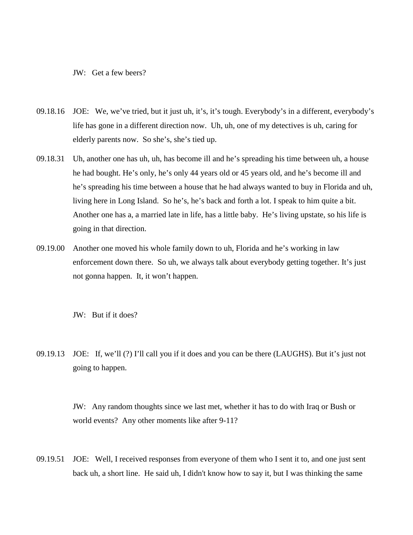JW: Get a few beers?

- 09.18.16 JOE: We, we've tried, but it just uh, it's, it's tough. Everybody's in a different, everybody's life has gone in a different direction now. Uh, uh, one of my detectives is uh, caring for elderly parents now. So she's, she's tied up.
- 09.18.31 Uh, another one has uh, uh, has become ill and he's spreading his time between uh, a house he had bought. He's only, he's only 44 years old or 45 years old, and he's become ill and he's spreading his time between a house that he had always wanted to buy in Florida and uh, living here in Long Island. So he's, he's back and forth a lot. I speak to him quite a bit. Another one has a, a married late in life, has a little baby. He's living upstate, so his life is going in that direction.
- 09.19.00 Another one moved his whole family down to uh, Florida and he's working in law enforcement down there. So uh, we always talk about everybody getting together. It's just not gonna happen. It, it won't happen.

JW: But if it does?

09.19.13 JOE: If, we'll (?) I'll call you if it does and you can be there (LAUGHS). But it's just not going to happen.

> JW: Any random thoughts since we last met, whether it has to do with Iraq or Bush or world events? Any other moments like after 9-11?

09.19.51 JOE: Well, I received responses from everyone of them who I sent it to, and one just sent back uh, a short line. He said uh, I didn't know how to say it, but I was thinking the same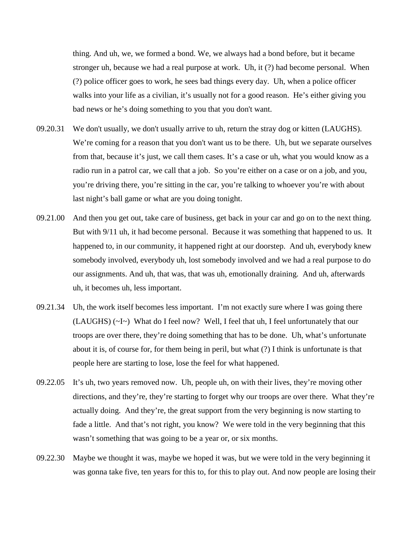thing. And uh, we, we formed a bond. We, we always had a bond before, but it became stronger uh, because we had a real purpose at work. Uh, it (?) had become personal. When (?) police officer goes to work, he sees bad things every day. Uh, when a police officer walks into your life as a civilian, it's usually not for a good reason. He's either giving you bad news or he's doing something to you that you don't want.

- 09.20.31 We don't usually, we don't usually arrive to uh, return the stray dog or kitten (LAUGHS). We're coming for a reason that you don't want us to be there. Uh, but we separate ourselves from that, because it's just, we call them cases. It's a case or uh, what you would know as a radio run in a patrol car, we call that a job. So you're either on a case or on a job, and you, you're driving there, you're sitting in the car, you're talking to whoever you're with about last night's ball game or what are you doing tonight.
- 09.21.00 And then you get out, take care of business, get back in your car and go on to the next thing. But with 9/11 uh, it had become personal. Because it was something that happened to us. It happened to, in our community, it happened right at our doorstep. And uh, everybody knew somebody involved, everybody uh, lost somebody involved and we had a real purpose to do our assignments. And uh, that was, that was uh, emotionally draining. And uh, afterwards uh, it becomes uh, less important.
- 09.21.34 Uh, the work itself becomes less important. I'm not exactly sure where I was going there (LAUGHS) (~I~) What do I feel now? Well, I feel that uh, I feel unfortunately that our troops are over there, they're doing something that has to be done. Uh, what's unfortunate about it is, of course for, for them being in peril, but what (?) I think is unfortunate is that people here are starting to lose, lose the feel for what happened.
- 09.22.05 It's uh, two years removed now. Uh, people uh, on with their lives, they're moving other directions, and they're, they're starting to forget why our troops are over there. What they're actually doing. And they're, the great support from the very beginning is now starting to fade a little. And that's not right, you know? We were told in the very beginning that this wasn't something that was going to be a year or, or six months.
- 09.22.30 Maybe we thought it was, maybe we hoped it was, but we were told in the very beginning it was gonna take five, ten years for this to, for this to play out. And now people are losing their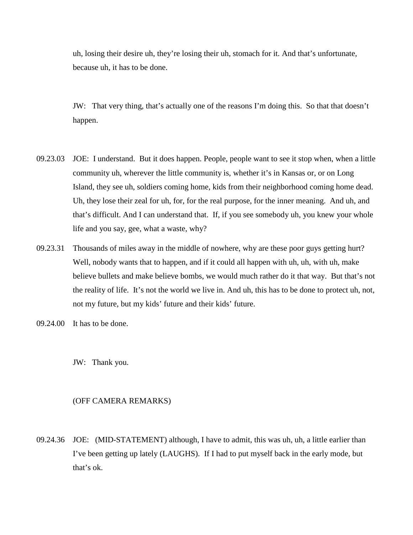uh, losing their desire uh, they're losing their uh, stomach for it. And that's unfortunate, because uh, it has to be done.

JW: That very thing, that's actually one of the reasons I'm doing this. So that that doesn't happen.

- 09.23.03 JOE: I understand. But it does happen. People, people want to see it stop when, when a little community uh, wherever the little community is, whether it's in Kansas or, or on Long Island, they see uh, soldiers coming home, kids from their neighborhood coming home dead. Uh, they lose their zeal for uh, for, for the real purpose, for the inner meaning. And uh, and that's difficult. And I can understand that. If, if you see somebody uh, you knew your whole life and you say, gee, what a waste, why?
- 09.23.31 Thousands of miles away in the middle of nowhere, why are these poor guys getting hurt? Well, nobody wants that to happen, and if it could all happen with uh, uh, with uh, make believe bullets and make believe bombs, we would much rather do it that way. But that's not the reality of life. It's not the world we live in. And uh, this has to be done to protect uh, not, not my future, but my kids' future and their kids' future.
- 09.24.00 It has to be done.

JW: Thank you.

# (OFF CAMERA REMARKS)

09.24.36 JOE: (MID-STATEMENT) although, I have to admit, this was uh, uh, a little earlier than I've been getting up lately (LAUGHS). If I had to put myself back in the early mode, but that's ok.